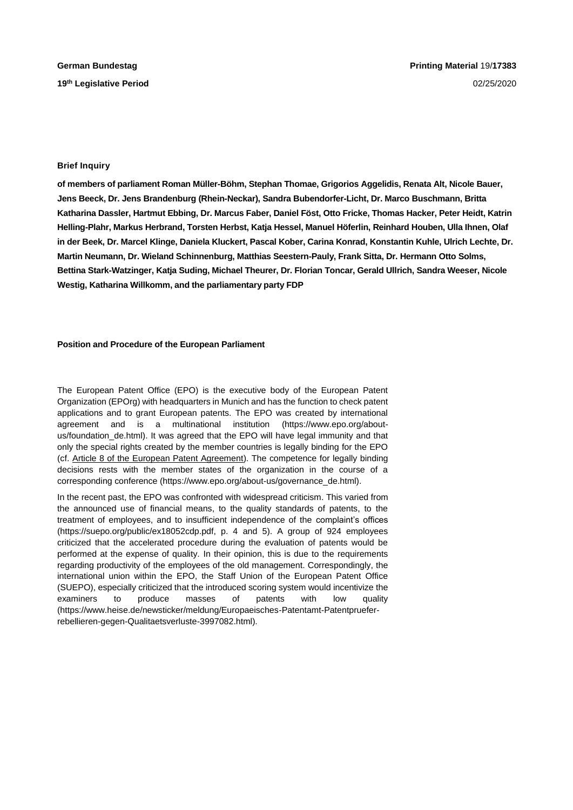## **Brief Inquiry**

**of members of parliament Roman Müller-Böhm, Stephan Thomae, Grigorios Aggelidis, Renata Alt, Nicole Bauer, Jens Beeck, Dr. Jens Brandenburg (Rhein-Neckar), Sandra Bubendorfer-Licht, Dr. Marco Buschmann, Britta Katharina Dassler, Hartmut Ebbing, Dr. Marcus Faber, Daniel Föst, Otto Fricke, Thomas Hacker, Peter Heidt, Katrin Helling-Plahr, Markus Herbrand, Torsten Herbst, Katja Hessel, Manuel Höferlin, Reinhard Houben, Ulla Ihnen, Olaf in der Beek, Dr. Marcel Klinge, Daniela Kluckert, Pascal Kober, Carina Konrad, Konstantin Kuhle, Ulrich Lechte, Dr. Martin Neumann, Dr. Wieland Schinnenburg, Matthias Seestern-Pauly, Frank Sitta, Dr. Hermann Otto Solms, Bettina Stark-Watzinger, Katja Suding, Michael Theurer, Dr. Florian Toncar, Gerald Ullrich, Sandra Weeser, Nicole Westig, Katharina Willkomm, and the parliamentary party FDP**

## **Position and Procedure of the European Parliament**

The European Patent Office (EPO) is the executive body of the European Patent Organization (EPOrg) with headquarters in Munich and has the function to check patent applications and to grant European patents. The EPO was created by international agreement and is a multinational institution (https://www.epo.org/aboutus/foundation\_de.html). It was agreed that the EPO will have legal immunity and that only the special rights created by the member countries is legally binding for the EPO (cf. Article 8 of the European Patent Agreement). The competence for legally binding decisions rests with the member states of the organization in the course of a corresponding conference (https://www.epo.org/about-us/governance\_de.html).

In the recent past, the EPO was confronted with widespread criticism. This varied from the announced use of financial means, to the quality standards of patents, to the treatment of employees, and to insufficient independence of the complaint's offices (https://suepo.org/public/ex18052cdp.pdf, p. 4 and 5). A group of 924 employees criticized that the accelerated procedure during the evaluation of patents would be performed at the expense of quality. In their opinion, this is due to the requirements regarding productivity of the employees of the old management. Correspondingly, the international union within the EPO, the Staff Union of the European Patent Office (SUEPO), especially criticized that the introduced scoring system would incentivize the examiners to produce masses of patents with low quality (https://www.heise.de/newsticker/meldung/Europaeisches-Patentamt-Patentprueferrebellieren-gegen-Qualitaetsverluste-3997082.html).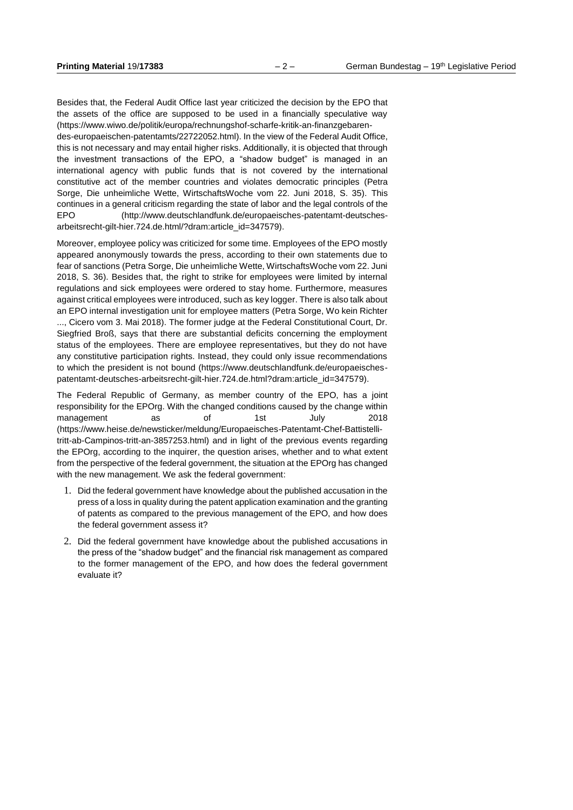Besides that, the Federal Audit Office last year criticized the decision by the EPO that the assets of the office are supposed to be used in a financially speculative way (https://www.wiwo.de/politik/europa/rechnungshof-scharfe-kritik-an-finanzgebaren-

des-europaeischen-patentamts/22722052.html). In the view of the Federal Audit Office, this is not necessary and may entail higher risks. Additionally, it is objected that through the investment transactions of the EPO, a "shadow budget" is managed in an international agency with public funds that is not covered by the international constitutive act of the member countries and violates democratic principles (Petra Sorge, Die unheimliche Wette, WirtschaftsWoche vom 22. Juni 2018, S. 35). This continues in a general criticism regarding the state of labor and the legal controls of the EPO (http://www.deutschlandfunk.de/europaeisches-patentamt-deutschesarbeitsrecht-gilt-hier.724.de.html/?dram:article\_id=347579).

Moreover, employee policy was criticized for some time. Employees of the EPO mostly appeared anonymously towards the press, according to their own statements due to fear of sanctions (Petra Sorge, Die unheimliche Wette, WirtschaftsWoche vom 22. Juni 2018, S. 36). Besides that, the right to strike for employees were limited by internal regulations and sick employees were ordered to stay home. Furthermore, measures against critical employees were introduced, such as key logger. There is also talk about an EPO internal investigation unit for employee matters (Petra Sorge, Wo kein Richter ..., Cicero vom 3. Mai 2018). The former judge at the Federal Constitutional Court, Dr. Siegfried Broß, says that there are substantial deficits concerning the employment status of the employees. There are employee representatives, but they do not have any constitutive participation rights. Instead, they could only issue recommendations to which the president is not bound (https://www.deutschlandfunk.de/europaeischespatentamt-deutsches-arbeitsrecht-gilt-hier.724.de.html?dram:article\_id=347579).

The Federal Republic of Germany, as member country of the EPO, has a joint responsibility for the EPOrg. With the changed conditions caused by the change within management as of 1st July 2018 (https://www.heise.de/newsticker/meldung/Europaeisches-Patentamt-Chef-Battistellitritt-ab-Campinos-tritt-an-3857253.html) and in light of the previous events regarding the EPOrg, according to the inquirer, the question arises, whether and to what extent from the perspective of the federal government, the situation at the EPOrg has changed with the new management. We ask the federal government:

- 1. Did the federal government have knowledge about the published accusation in the press of a loss in quality during the patent application examination and the granting of patents as compared to the previous management of the EPO, and how does the federal government assess it?
- 2. Did the federal government have knowledge about the published accusations in the press of the "shadow budget" and the financial risk management as compared to the former management of the EPO, and how does the federal government evaluate it?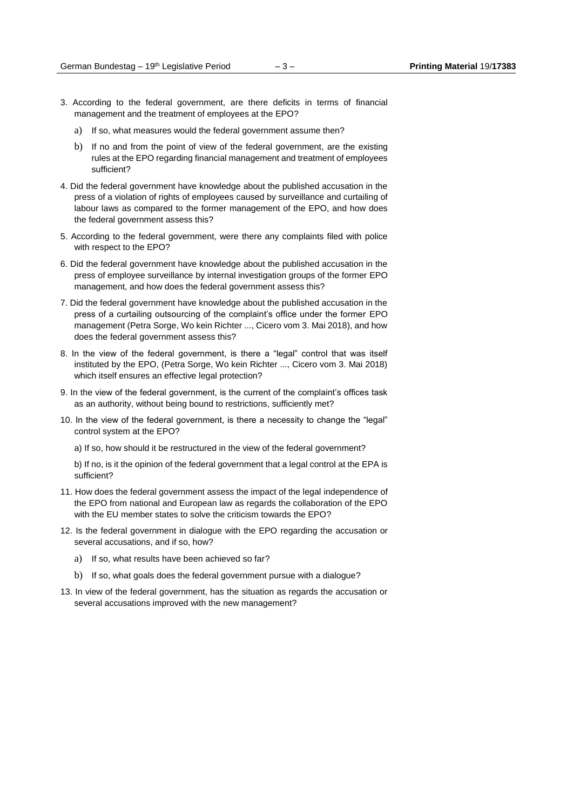- 3. According to the federal government, are there deficits in terms of financial management and the treatment of employees at the EPO?
	- a) If so, what measures would the federal government assume then?
	- b) If no and from the point of view of the federal government, are the existing rules at the EPO regarding financial management and treatment of employees sufficient?
- 4. Did the federal government have knowledge about the published accusation in the press of a violation of rights of employees caused by surveillance and curtailing of labour laws as compared to the former management of the EPO, and how does the federal government assess this?
- 5. According to the federal government, were there any complaints filed with police with respect to the EPO?
- 6. Did the federal government have knowledge about the published accusation in the press of employee surveillance by internal investigation groups of the former EPO management, and how does the federal government assess this?
- 7. Did the federal government have knowledge about the published accusation in the press of a curtailing outsourcing of the complaint's office under the former EPO management (Petra Sorge, Wo kein Richter ..., Cicero vom 3. Mai 2018), and how does the federal government assess this?
- 8. In the view of the federal government, is there a "legal" control that was itself instituted by the EPO, (Petra Sorge, Wo kein Richter ..., Cicero vom 3. Mai 2018) which itself ensures an effective legal protection?
- 9. In the view of the federal government, is the current of the complaint's offices task as an authority, without being bound to restrictions, sufficiently met?
- 10. In the view of the federal government, is there a necessity to change the "legal" control system at the EPO?
	- a) If so, how should it be restructured in the view of the federal government?

b) If no, is it the opinion of the federal government that a legal control at the EPA is sufficient?

- 11. How does the federal government assess the impact of the legal independence of the EPO from national and European law as regards the collaboration of the EPO with the EU member states to solve the criticism towards the EPO?
- 12. Is the federal government in dialogue with the EPO regarding the accusation or several accusations, and if so, how?
	- a) If so, what results have been achieved so far?
	- b) If so, what goals does the federal government pursue with a dialogue?
- 13. In view of the federal government, has the situation as regards the accusation or several accusations improved with the new management?